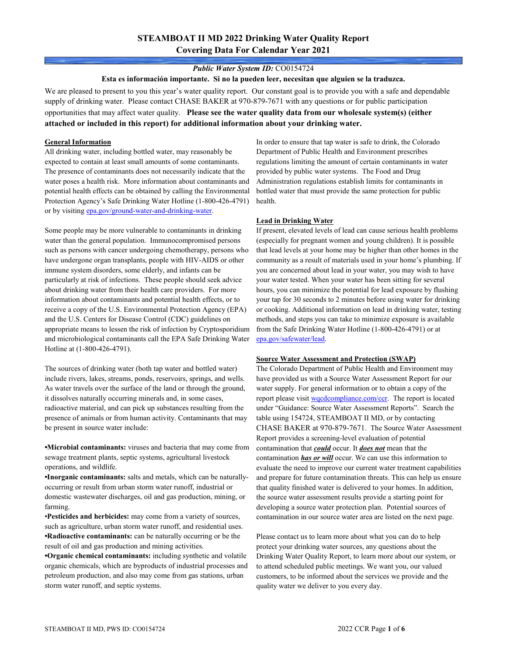# **STEAMBOAT II MD 2022 Drinking Water Quality Report Covering Data For Calendar Year 2021**

### *Public Water System ID:* CO0154724

**Esta es información importante. Si no la pueden leer, necesitan que alguien se la traduzca.**

We are pleased to present to you this year's water quality report. Our constant goal is to provide you with a safe and dependable supply of drinking water. Please contact CHASE BAKER at 970-879-7671 with any questions or for public participation opportunities that may affect water quality. **Please see the water quality data from our wholesale system(s) (either attached or included in this report) for additional information about your drinking water.**

#### **General Information**

All drinking water, including bottled water, may reasonably be expected to contain at least small amounts of some contaminants. The presence of contaminants does not necessarily indicate that the water poses a health risk. More information about contaminants and potential health effects can be obtained by calling the Environmental Protection Agency's Safe Drinking Water Hotline (1-800-426-4791) or by visiting [epa.gov/ground-water-and-drinking-water.](https://www.epa.gov/ground-water-and-drinking-water)

Some people may be more vulnerable to contaminants in drinking water than the general population. Immunocompromised persons such as persons with cancer undergoing chemotherapy, persons who have undergone organ transplants, people with HIV-AIDS or other immune system disorders, some elderly, and infants can be particularly at risk of infections. These people should seek advice about drinking water from their health care providers. For more information about contaminants and potential health effects, or to receive a copy of the U.S. Environmental Protection Agency (EPA) and the U.S. Centers for Disease Control (CDC) guidelines on appropriate means to lessen the risk of infection by Cryptosporidium and microbiological contaminants call the EPA Safe Drinking Water Hotline at (1-800-426-4791).

The sources of drinking water (both tap water and bottled water) include rivers, lakes, streams, ponds, reservoirs, springs, and wells. As water travels over the surface of the land or through the ground, it dissolves naturally occurring minerals and, in some cases, radioactive material, and can pick up substances resulting from the presence of animals or from human activity. Contaminants that may be present in source water include:

**•Microbial contaminants:** viruses and bacteria that may come from sewage treatment plants, septic systems, agricultural livestock operations, and wildlife.

**•Inorganic contaminants:** salts and metals, which can be naturallyoccurring or result from urban storm water runoff, industrial or domestic wastewater discharges, oil and gas production, mining, or farming.

•**Pesticides and herbicides:** may come from a variety of sources, such as agriculture, urban storm water runoff, and residential uses. **•Radioactive contaminants:** can be naturally occurring or be the result of oil and gas production and mining activities.

**•Organic chemical contaminants:** including synthetic and volatile organic chemicals, which are byproducts of industrial processes and petroleum production, and also may come from gas stations, urban storm water runoff, and septic systems.

In order to ensure that tap water is safe to drink, the Colorado Department of Public Health and Environment prescribes regulations limiting the amount of certain contaminants in water provided by public water systems. The Food and Drug Administration regulations establish limits for contaminants in bottled water that must provide the same protection for public health.

### **Lead in Drinking Water**

If present, elevated levels of lead can cause serious health problems (especially for pregnant women and young children). It is possible that lead levels at your home may be higher than other homes in the community as a result of materials used in your home's plumbing. If you are concerned about lead in your water, you may wish to have your water tested. When your water has been sitting for several hours, you can minimize the potential for lead exposure by flushing your tap for 30 seconds to 2 minutes before using water for drinking or cooking. Additional information on lead in drinking water, testing methods, and steps you can take to minimize exposure is available from the Safe Drinking Water Hotline (1-800-426-4791) or at [epa.gov/safewater/lead.](http://www.epa.gov/safewater/lead) 

### **Source Water Assessment and Protection (SWAP)**

The Colorado Department of Public Health and Environment may have provided us with a Source Water Assessment Report for our water supply. For general information or to obtain a copy of the report please visit [wqcdcompliance.com/ccr.](https://wqcdcompliance.com/ccr) The report is located under "Guidance: Source Water Assessment Reports". Search the table using 154724, STEAMBOAT II MD, or by contacting CHASE BAKER at 970-879-7671. The Source Water Assessment Report provides a screening-level evaluation of potential contamination that *could* occur. It *does not* mean that the contamination *has or will* occur. We can use this information to evaluate the need to improve our current water treatment capabilities and prepare for future contamination threats. This can help us ensure that quality finished water is delivered to your homes. In addition, the source water assessment results provide a starting point for developing a source water protection plan. Potential sources of contamination in our source water area are listed on the next page.

Please contact us to learn more about what you can do to help protect your drinking water sources, any questions about the Drinking Water Quality Report, to learn more about our system, or to attend scheduled public meetings. We want you, our valued customers, to be informed about the services we provide and the quality water we deliver to you every day.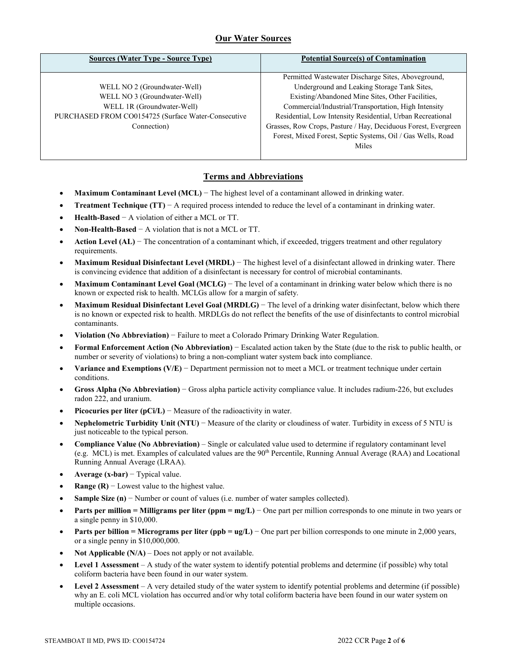## **Our Water Sources**

| <b>Potential Source(s) of Contamination</b>                    |
|----------------------------------------------------------------|
| Permitted Wastewater Discharge Sites, Aboveground,             |
| Underground and Leaking Storage Tank Sites,                    |
| Existing/Abandoned Mine Sites, Other Facilities,               |
| Commercial/Industrial/Transportation, High Intensity           |
| Residential, Low Intensity Residential, Urban Recreational     |
| Grasses, Row Crops, Pasture / Hay, Deciduous Forest, Evergreen |
| Forest, Mixed Forest, Septic Systems, Oil / Gas Wells, Road    |
| Miles                                                          |
|                                                                |

## **Terms and Abbreviations**

- **Maximum Contaminant Level (MCL)** − The highest level of a contaminant allowed in drinking water.
- **Treatment Technique (TT)** − A required process intended to reduce the level of a contaminant in drinking water.
- **Health-Based** − A violation of either a MCL or TT.
- **Non-Health-Based** − A violation that is not a MCL or TT.
- **Action Level (AL)** − The concentration of a contaminant which, if exceeded, triggers treatment and other regulatory requirements.
- **Maximum Residual Disinfectant Level (MRDL)** − The highest level of a disinfectant allowed in drinking water. There is convincing evidence that addition of a disinfectant is necessary for control of microbial contaminants.
- **Maximum Contaminant Level Goal (MCLG)** − The level of a contaminant in drinking water below which there is no known or expected risk to health. MCLGs allow for a margin of safety.
- **Maximum Residual Disinfectant Level Goal (MRDLG)** − The level of a drinking water disinfectant, below which there is no known or expected risk to health. MRDLGs do not reflect the benefits of the use of disinfectants to control microbial contaminants.
- **Violation (No Abbreviation)** − Failure to meet a Colorado Primary Drinking Water Regulation.
- **Formal Enforcement Action (No Abbreviation)** − Escalated action taken by the State (due to the risk to public health, or number or severity of violations) to bring a non-compliant water system back into compliance.
- **Variance and Exemptions (V/E)** − Department permission not to meet a MCL or treatment technique under certain conditions.
- **Gross Alpha (No Abbreviation)** − Gross alpha particle activity compliance value. It includes radium-226, but excludes radon 222, and uranium.
- **Picocuries per liter (pCi/L)** − Measure of the radioactivity in water.
- **Nephelometric Turbidity Unit (NTU)** − Measure of the clarity or cloudiness of water. Turbidity in excess of 5 NTU is just noticeable to the typical person.
- **Compliance Value (No Abbreviation)** Single or calculated value used to determine if regulatory contaminant level (e.g. MCL) is met. Examples of calculated values are the 90<sup>th</sup> Percentile, Running Annual Average (RAA) and Locational Running Annual Average (LRAA).
- **Average (x-bar)** − Typical value.
- **Range (R)** Lowest value to the highest value.
- **Sample Size (n)** − Number or count of values (i.e. number of water samples collected).
- **Parts per million = Milligrams per liter (ppm = mg/L)** − One part per million corresponds to one minute in two years or a single penny in \$10,000.
- **Parts per billion = Micrograms per liter (ppb = ug/L)** − One part per billion corresponds to one minute in 2,000 years, or a single penny in \$10,000,000.
- **Not Applicable**  $(N/A)$  Does not apply or not available.
- **Level 1 Assessment** A study of the water system to identify potential problems and determine (if possible) why total coliform bacteria have been found in our water system.
- **Level 2 Assessment** A very detailed study of the water system to identify potential problems and determine (if possible) why an E. coli MCL violation has occurred and/or why total coliform bacteria have been found in our water system on multiple occasions.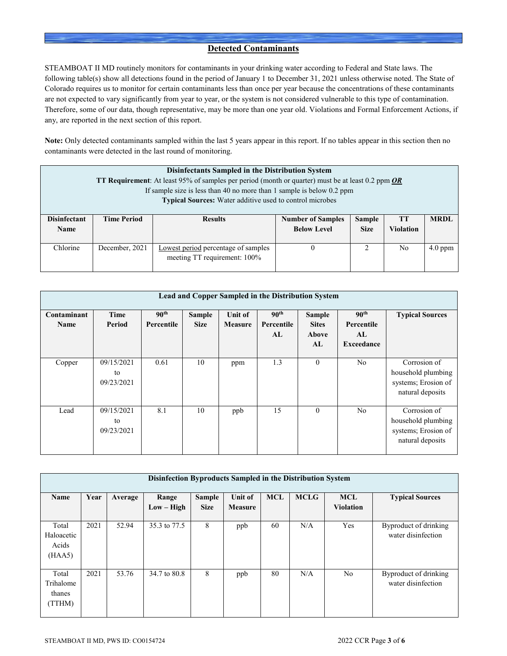## **Detected Contaminants**

STEAMBOAT II MD routinely monitors for contaminants in your drinking water according to Federal and State laws. The following table(s) show all detections found in the period of January 1 to December 31, 2021 unless otherwise noted. The State of Colorado requires us to monitor for certain contaminants less than once per year because the concentrations of these contaminants are not expected to vary significantly from year to year, or the system is not considered vulnerable to this type of contamination. Therefore, some of our data, though representative, may be more than one year old. Violations and Formal Enforcement Actions, if any, are reported in the next section of this report.

**Note:** Only detected contaminants sampled within the last 5 years appear in this report. If no tables appear in this section then no contaminants were detected in the last round of monitoring.

| <b>Disinfectants Sampled in the Distribution System</b><br><b>TT Requirement:</b> At least 95% of samples per period (month or quarter) must be at least 0.2 ppm OR<br>If sample size is less than 40 no more than 1 sample is below $0.2$ ppm<br><b>Typical Sources:</b> Water additive used to control microbes |                    |                                                                     |                                                |                              |                 |             |  |  |
|-------------------------------------------------------------------------------------------------------------------------------------------------------------------------------------------------------------------------------------------------------------------------------------------------------------------|--------------------|---------------------------------------------------------------------|------------------------------------------------|------------------------------|-----------------|-------------|--|--|
| <b>Disinfectant</b><br><b>Name</b>                                                                                                                                                                                                                                                                                | <b>Time Period</b> | <b>Results</b>                                                      | <b>Number of Samples</b><br><b>Below Level</b> | <b>Sample</b><br><b>Size</b> | TТ<br>Violation | <b>MRDL</b> |  |  |
| Chlorine                                                                                                                                                                                                                                                                                                          | December, 2021     | Lowest period percentage of samples<br>meeting TT requirement: 100% |                                                |                              | No              | $4.0$ ppm   |  |  |

| Lead and Copper Sampled in the Distribution System |                                |                                |                              |                           |                                      |                                              |                                                     |                                                                               |  |
|----------------------------------------------------|--------------------------------|--------------------------------|------------------------------|---------------------------|--------------------------------------|----------------------------------------------|-----------------------------------------------------|-------------------------------------------------------------------------------|--|
| Contaminant<br><b>Name</b>                         | Time<br>Period                 | 90 <sup>th</sup><br>Percentile | <b>Sample</b><br><b>Size</b> | Unit of<br><b>Measure</b> | 90 <sup>th</sup><br>Percentile<br>AL | <b>Sample</b><br><b>Sites</b><br>Above<br>AL | 90 <sup>th</sup><br>Percentile<br>AI.<br>Exceedance | <b>Typical Sources</b>                                                        |  |
| Copper                                             | 09/15/2021<br>to<br>09/23/2021 | 0.61                           | 10                           | ppm                       | 1.3                                  | $\theta$                                     | N <sub>o</sub>                                      | Corrosion of<br>household plumbing<br>systems; Erosion of<br>natural deposits |  |
| Lead                                               | 09/15/2021<br>to<br>09/23/2021 | 8.1                            | 10                           | ppb                       | 15                                   | $\theta$                                     | N <sub>o</sub>                                      | Corrosion of<br>household plumbing<br>systems; Erosion of<br>natural deposits |  |

| Disinfection Byproducts Sampled in the Distribution System |      |         |                       |                       |                           |            |             |                                |                                             |
|------------------------------------------------------------|------|---------|-----------------------|-----------------------|---------------------------|------------|-------------|--------------------------------|---------------------------------------------|
| Name                                                       | Year | Average | Range<br>$Low - High$ | Sample<br><b>Size</b> | <b>Unit of</b><br>Measure | <b>MCL</b> | <b>MCLG</b> | <b>MCL</b><br><b>Violation</b> | <b>Typical Sources</b>                      |
| Total<br>Haloacetic<br>Acids<br>(HAA5)                     | 2021 | 52.94   | 35.3 to 77.5          | 8                     | ppb                       | 60         | N/A         | Yes                            | Byproduct of drinking<br>water disinfection |
| Total<br>Trihalome<br>thanes<br>(TTHM)                     | 2021 | 53.76   | 34.7 to 80.8          | 8                     | ppb                       | 80         | N/A         | N <sub>o</sub>                 | Byproduct of drinking<br>water disinfection |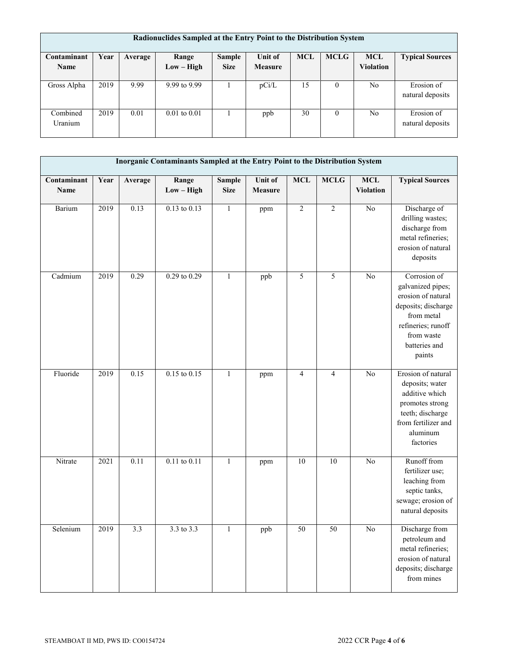| Radionuclides Sampled at the Entry Point to the Distribution System |      |         |                  |             |                |            |             |                  |                                |
|---------------------------------------------------------------------|------|---------|------------------|-------------|----------------|------------|-------------|------------------|--------------------------------|
| Contaminant                                                         | Year | Average | Range            | Sample      | <b>Unit of</b> | <b>MCL</b> | <b>MCLG</b> | <b>MCL</b>       | <b>Typical Sources</b>         |
| <b>Name</b>                                                         |      |         | Low – High       | <b>Size</b> | <b>Measure</b> |            |             | <b>Violation</b> |                                |
| Gross Alpha                                                         | 2019 | 9.99    | 9.99 to 9.99     |             | pCi/L          | 15         | $\theta$    | N <sub>o</sub>   | Erosion of<br>natural deposits |
| Combined<br>Uranium                                                 | 2019 | 0.01    | $0.01$ to $0.01$ |             | ppb            | 30         | $\theta$    | N <sub>0</sub>   | Erosion of<br>natural deposits |

| Inorganic Contaminants Sampled at the Entry Point to the Distribution System |      |         |                       |                              |                    |                          |                 |                                |                                                                                                                                                             |
|------------------------------------------------------------------------------|------|---------|-----------------------|------------------------------|--------------------|--------------------------|-----------------|--------------------------------|-------------------------------------------------------------------------------------------------------------------------------------------------------------|
| Contaminant<br>Name                                                          | Year | Average | Range<br>$Low - High$ | <b>Sample</b><br><b>Size</b> | Unit of<br>Measure | <b>MCL</b>               | MCLG            | <b>MCL</b><br><b>Violation</b> | <b>Typical Sources</b>                                                                                                                                      |
| Barium                                                                       | 2019 | 0.13    | $0.13$ to $0.13$      | $\mathbf{1}$                 | ppm                | $\overline{2}$           | $\overline{2}$  | $\overline{No}$                | Discharge of<br>drilling wastes;<br>discharge from<br>metal refineries;<br>erosion of natural<br>deposits                                                   |
| Cadmium                                                                      | 2019 | 0.29    | $0.29$ to $0.29$      | $\mathbf{1}$                 | ppb                | 5                        | $\mathfrak s$   | No                             | Corrosion of<br>galvanized pipes;<br>erosion of natural<br>deposits; discharge<br>from metal<br>refineries; runoff<br>from waste<br>batteries and<br>paints |
| Fluoride                                                                     | 2019 | 0.15    | $0.15$ to $0.15$      | $\mathbf{1}$                 | ppm                | $\overline{\mathcal{L}}$ | $\overline{4}$  | $\overline{No}$                | Erosion of natural<br>deposits; water<br>additive which<br>promotes strong<br>teeth; discharge<br>from fertilizer and<br>aluminum<br>factories              |
| Nitrate                                                                      | 2021 | 0.11    | $0.11$ to $0.11$      | $\mathbf{1}$                 | ppm                | $\overline{10}$          | $\overline{10}$ | $\overline{No}$                | Runoff from<br>fertilizer use;<br>leaching from<br>septic tanks,<br>sewage; erosion of<br>natural deposits                                                  |
| Selenium                                                                     | 2019 | 3.3     | 3.3 to 3.3            | 1                            | ppb                | 50                       | 50              | No                             | Discharge from<br>petroleum and<br>metal refineries;<br>erosion of natural<br>deposits; discharge<br>from mines                                             |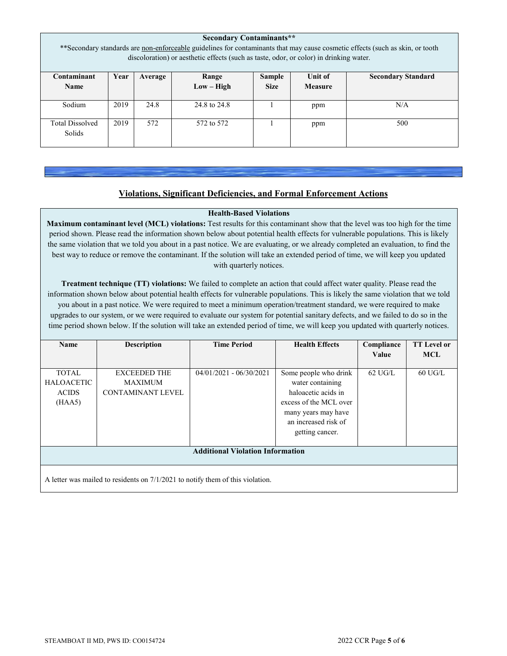| <b>Secondary Contaminants**</b><br>** Secondary standards are non-enforceable guidelines for contaminants that may cause cosmetic effects (such as skin, or tooth<br>discoloration) or aesthetic effects (such as taste, odor, or color) in drinking water. |      |         |                       |                              |                           |                           |  |
|-------------------------------------------------------------------------------------------------------------------------------------------------------------------------------------------------------------------------------------------------------------|------|---------|-----------------------|------------------------------|---------------------------|---------------------------|--|
| Contaminant<br><b>Name</b>                                                                                                                                                                                                                                  | Year | Average | Range<br>$Low - High$ | <b>Sample</b><br><b>Size</b> | Unit of<br><b>Measure</b> | <b>Secondary Standard</b> |  |
| Sodium                                                                                                                                                                                                                                                      | 2019 | 24.8    | 24.8 to 24.8          |                              | ppm                       | N/A                       |  |
| <b>Total Dissolved</b><br>Solids                                                                                                                                                                                                                            | 2019 | 572     | 572 to 572            |                              | ppm                       | 500                       |  |

## **Violations, Significant Deficiencies, and Formal Enforcement Actions**

### **Health-Based Violations**

**Maximum contaminant level (MCL) violations:** Test results for this contaminant show that the level was too high for the time period shown. Please read the information shown below about potential health effects for vulnerable populations. This is likely the same violation that we told you about in a past notice. We are evaluating, or we already completed an evaluation, to find the best way to reduce or remove the contaminant. If the solution will take an extended period of time, we will keep you updated with quarterly notices.

**Treatment technique (TT) violations:** We failed to complete an action that could affect water quality. Please read the information shown below about potential health effects for vulnerable populations. This is likely the same violation that we told you about in a past notice. We were required to meet a minimum operation/treatment standard, we were required to make upgrades to our system, or we were required to evaluate our system for potential sanitary defects, and we failed to do so in the time period shown below. If the solution will take an extended period of time, we will keep you updated with quarterly notices.

| Name                                                                             | <b>Description</b>                                                | <b>Time Period</b>        | <b>Health Effects</b>                                                                                                                                        | Compliance<br>Value | <b>TT</b> Level or<br><b>MCL</b> |  |  |
|----------------------------------------------------------------------------------|-------------------------------------------------------------------|---------------------------|--------------------------------------------------------------------------------------------------------------------------------------------------------------|---------------------|----------------------------------|--|--|
| <b>TOTAL</b><br><b>HALOACETIC</b><br><b>ACIDS</b><br>(HAA5)                      | <b>EXCEEDED THE</b><br><b>MAXIMUM</b><br><b>CONTAMINANT LEVEL</b> | $04/01/2021 - 06/30/2021$ | Some people who drink<br>water containing<br>haloacetic acids in<br>excess of the MCL over<br>many years may have<br>an increased risk of<br>getting cancer. | $62 \text{ UG/L}$   | $60 \text{ UG/L}$                |  |  |
| <b>Additional Violation Information</b>                                          |                                                                   |                           |                                                                                                                                                              |                     |                                  |  |  |
| A letter was mailed to residents on $7/1/2021$ to notify them of this violation. |                                                                   |                           |                                                                                                                                                              |                     |                                  |  |  |